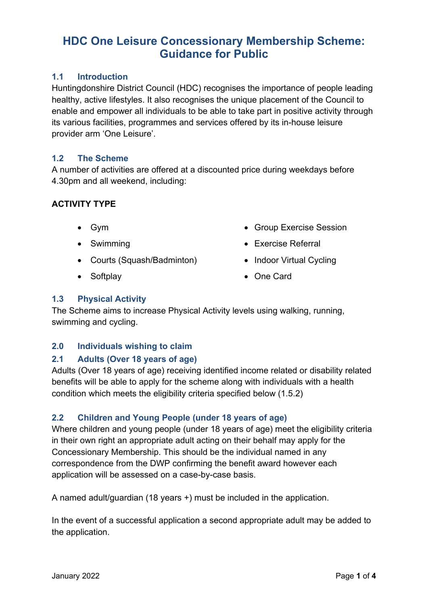### **1.1 Introduction**

Huntingdonshire District Council (HDC) recognises the importance of people leading healthy, active lifestyles. It also recognises the unique placement of the Council to enable and empower all individuals to be able to take part in positive activity through its various facilities, programmes and services offered by its in-house leisure provider arm 'One Leisure'.

### $12$ **1.2 The Scheme**

A number of activities are offered at a discounted price during weekdays before 4.30pm and all weekend, including:

### **ACTIVITY TYPE**

- 
- 
- Courts (Squash/Badminton) Indoor Virtual Cycling
- 
- Gym  **Group Exercise Session**
- Swimming  **Exercise Referral** 
	-
- Softplay One Card

### **1.3 Physical Activity**

The Scheme aims to increase Physical Activity levels using walking, running, swimming and cycling.

### **2.0 Individuals wishing to claim**

### **2.1 Adults (Over 18 years of age)**

Adults (Over 18 years of age) receiving identified income related or disability related benefits will be able to apply for the scheme along with individuals with a health condition which meets the eligibility criteria specified below (1.5.2)

### **2.2 Children and Young People (under 18 years of age)**

 application will be assessed on a case-by-case basis. Where children and young people (under 18 years of age) meet the eligibility criteria in their own right an appropriate adult acting on their behalf may apply for the Concessionary Membership. This should be the individual named in any correspondence from the DWP confirming the benefit award however each

A named adult/guardian (18 years +) must be included in the application.

In the event of a successful application a second appropriate adult may be added to the application.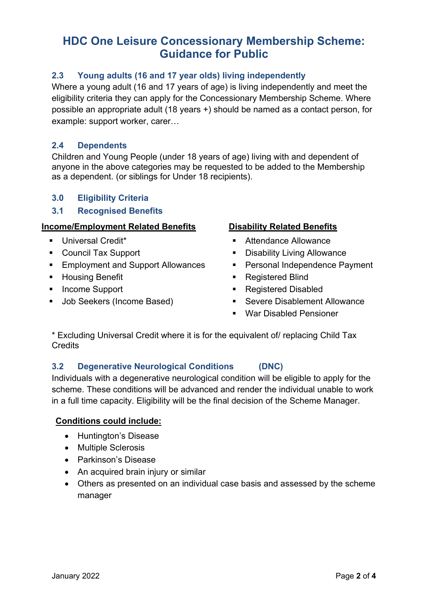### **2.3 Young adults (16 and 17 year olds) living independently**

Where a young adult (16 and 17 years of age) is living independently and meet the eligibility criteria they can apply for the Concessionary Membership Scheme. Where possible an appropriate adult (18 years +) should be named as a contact person, for example: support worker, carer…

### **2.4 Dependents**

Children and Young People (under 18 years of age) living with and dependent of anyone in the above categories may be requested to be added to the Membership as a dependent. (or siblings for Under 18 recipients).

## **3.0 Eligibility Criteria**

### **3.1 Recognised Benefits**

### **Income/Employment Related Benefits**

- **Universal Credit\***
- Council Tax Support
- Employment and Support Allowances
- **-** Housing Benefit
- **Income Support**
- **Job Seekers (Income Based)**

### **Disability Related Benefits**

- Attendance Allowance
- Disability Living Allowance
- **Personal Independence Payment**
- Registered Blind
- Registered Disabled
- Severe Disablement Allowance
- War Disabled Pensioner

\* Excluding Universal Credit where it is for the equivalent of/ replacing Child Tax **Credits** 

### **3.2 Degenerative Neurological Conditions (DNC)**

Individuals with a degenerative neurological condition will be eligible to apply for the scheme. These conditions will be advanced and render the individual unable to work in a full time capacity. Eligibility will be the final decision of the Scheme Manager.

### **Conditions could include:**

- Huntington's Disease
- Multiple Sclerosis
- Parkinson's Disease
- An acquired brain injury or similar
- Others as presented on an individual case basis and assessed by the scheme manager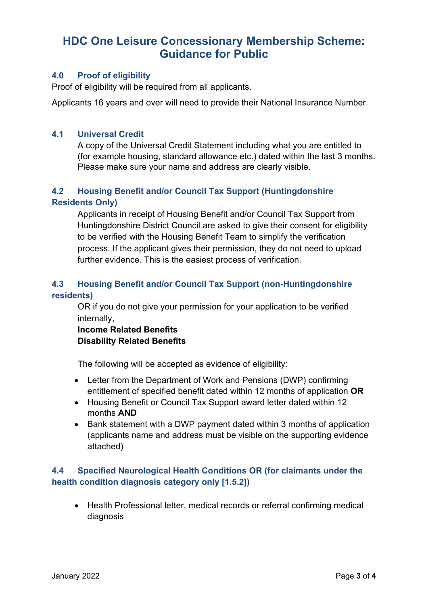### **4.0 Proof of eligibility**

Proof of eligibility will be required from all applicants.

Applicants 16 years and over will need to provide their National Insurance Number.

### **4.1 Universal Credit**

A copy of the Universal Credit Statement including what you are entitled to (for example housing, standard allowance etc.) dated within the last 3 months. Please make sure your name and address are clearly visible.

### **4.2 Housing Benefit and/or Council Tax Support (Huntingdonshire Residents Only)**

 Applicants in receipt of Housing Benefit and/or Council Tax Support from Huntingdonshire District Council are asked to give their consent for eligibility to be verified with the Housing Benefit Team to simplify the verification process. If the applicant gives their permission, they do not need to upload further evidence. This is the easiest process of verification.

### **4.3 Housing Benefit and/or Council Tax Support (non-Huntingdonshire residents)**

OR if you do not give your permission for your application to be verified internally,

### **Income Related Benefits Disability Related Benefits**

The following will be accepted as evidence of eligibility:

- Letter from the Department of Work and Pensions (DWP) confirming entitlement of specified benefit dated within 12 months of application **OR**
- Housing Benefit or Council Tax Support award letter dated within 12 months **AND**
- Bank statement with a DWP payment dated within 3 months of application (applicants name and address must be visible on the supporting evidence attached)

### **4.4 Specified Neurological Health Conditions OR (for claimants under the health condition diagnosis category only [1.5.2])**

• Health Professional letter, medical records or referral confirming medical diagnosis